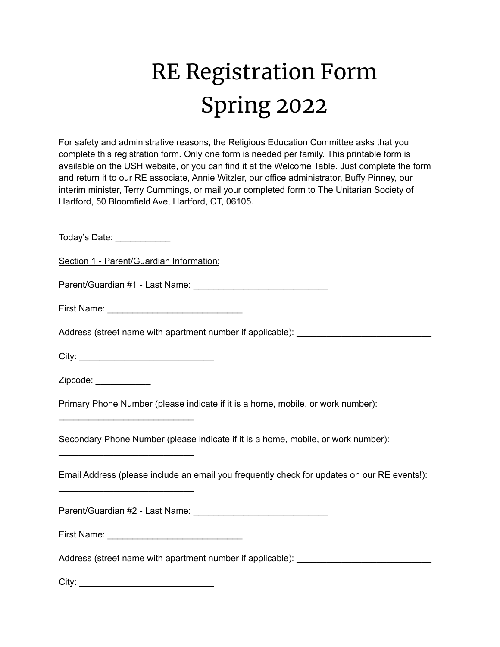## RE Registration Form Spring 2022

For safety and administrative reasons, the Religious Education Committee asks that you complete this registration form. Only one form is needed per family. This printable form is available on the USH website, or you can find it at the Welcome Table. Just complete the form and return it to our RE associate, Annie Witzler, our office administrator, Buffy Pinney, our interim minister, Terry Cummings, or mail your completed form to The Unitarian Society of Hartford, 50 Bloomfield Ave, Hartford, CT, 06105.

Today's Date: \_\_\_\_\_\_\_\_\_\_\_\_\_

Section 1 - Parent/Guardian Information:

Parent/Guardian #1 - Last Name: \_\_\_\_\_\_\_\_\_\_\_\_\_\_\_\_\_\_\_\_\_\_\_\_\_\_\_

First Name: \_\_\_\_\_\_\_\_\_\_\_\_\_\_\_\_\_\_\_\_\_\_\_\_\_\_\_

Address (street name with apartment number if applicable): \_\_\_\_\_\_\_\_\_\_\_\_\_\_\_\_\_\_\_\_\_

City: \_\_\_\_\_\_\_\_\_\_\_\_\_\_\_\_\_\_\_\_\_\_\_\_\_\_\_

\_\_\_\_\_\_\_\_\_\_\_\_\_\_\_\_\_\_\_\_\_\_\_\_\_\_\_

\_\_\_\_\_\_\_\_\_\_\_\_\_\_\_\_\_\_\_\_\_\_\_\_\_\_\_

\_\_\_\_\_\_\_\_\_\_\_\_\_\_\_\_\_\_\_\_\_\_\_\_\_\_\_

Zipcode:  $\Box$ 

Primary Phone Number (please indicate if it is a home, mobile, or work number):

Secondary Phone Number (please indicate if it is a home, mobile, or work number):

Email Address (please include an email you frequently check for updates on our RE events!):

Parent/Guardian #2 - Last Name: \_\_\_\_\_\_\_\_\_\_\_\_\_\_\_\_\_\_\_\_\_\_\_\_\_\_\_

First Name: **Example 20** 

Address (street name with apartment number if applicable):

City: \_\_\_\_\_\_\_\_\_\_\_\_\_\_\_\_\_\_\_\_\_\_\_\_\_\_\_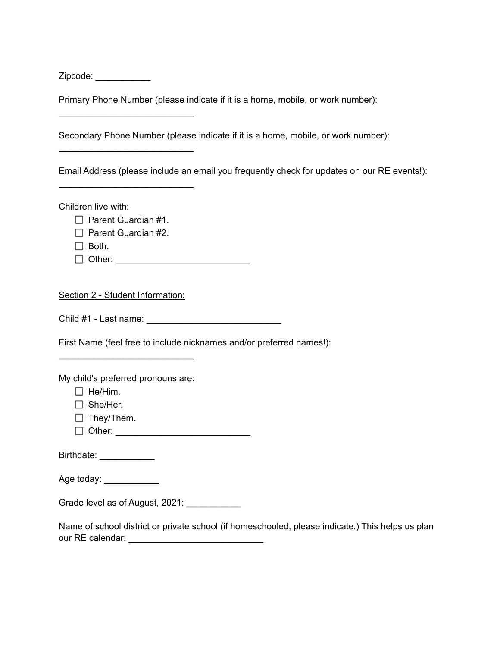Zipcode: \_\_\_\_\_\_\_\_\_\_\_\_\_\_

Primary Phone Number (please indicate if it is a home, mobile, or work number):

Secondary Phone Number (please indicate if it is a home, mobile, or work number):

Email Address (please include an email you frequently check for updates on our RE events!):

Children live with:

 $\Box$  Parent Guardian #1.

\_\_\_\_\_\_\_\_\_\_\_\_\_\_\_\_\_\_\_\_\_\_\_\_\_\_\_

\_\_\_\_\_\_\_\_\_\_\_\_\_\_\_\_\_\_\_\_\_\_\_\_\_\_\_

\_\_\_\_\_\_\_\_\_\_\_\_\_\_\_\_\_\_\_\_\_\_\_\_\_\_\_

 $\Box$  Parent Guardian #2.

 $\Box$  Both.

Other: \_\_\_\_\_\_\_\_\_\_\_\_\_\_\_\_\_\_\_\_\_\_\_\_\_\_\_

Section 2 - Student Information:

Child #1 - Last name: \_\_\_\_\_\_\_\_\_\_\_\_\_\_\_\_\_\_\_\_\_\_\_\_\_\_\_

First Name (feel free to include nicknames and/or preferred names!):

My child's preferred pronouns are:

\_\_\_\_\_\_\_\_\_\_\_\_\_\_\_\_\_\_\_\_\_\_\_\_\_\_\_

 $\Box$  He/Him.

- □ She/Her.
- $\Box$  They/Them.

 $\Box$  Other:

Birthdate: \_\_\_\_\_\_\_\_\_\_\_\_\_

Age today: \_\_\_\_\_\_\_\_\_\_\_\_\_

Grade level as of August, 2021: \_\_\_\_\_\_\_\_\_\_\_\_\_

Name of school district or private school (if homeschooled, please indicate.) This helps us plan our RE calendar: **Example 20**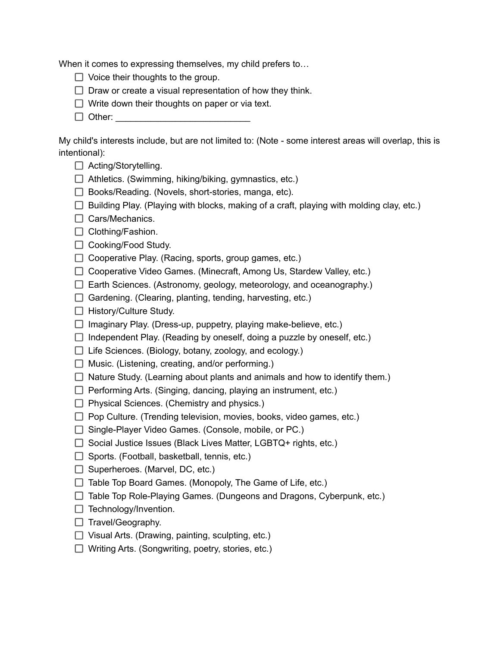When it comes to expressing themselves, my child prefers to...

- $\Box$  Voice their thoughts to the group.
- $\Box$  Draw or create a visual representation of how they think.
- $\Box$  Write down their thoughts on paper or via text.
- $\Box$  Other:

My child's interests include, but are not limited to: (Note - some interest areas will overlap, this is intentional):

- □ Acting/Storytelling.
- $\Box$  Athletics. (Swimming, hiking/biking, gymnastics, etc.)
- $\Box$  Books/Reading. (Novels, short-stories, manga, etc).
- $\Box$  Building Play. (Playing with blocks, making of a craft, playing with molding clay, etc.)
- $\Box$  Cars/Mechanics.
- $\Box$  Clothing/Fashion.
- □ Cooking/Food Study.
- $\Box$  Cooperative Play. (Racing, sports, group games, etc.)
- □ Cooperative Video Games. (Minecraft, Among Us, Stardew Valley, etc.)
- $\Box$  Earth Sciences. (Astronomy, geology, meteorology, and oceanography.)
- $\Box$  Gardening. (Clearing, planting, tending, harvesting, etc.)
- $\Box$  History/Culture Study.
- $\Box$  Imaginary Play. (Dress-up, puppetry, playing make-believe, etc.)
- $\Box$  Independent Play. (Reading by oneself, doing a puzzle by oneself, etc.)
- $\Box$  Life Sciences. (Biology, botany, zoology, and ecology.)
- $\Box$  Music. (Listening, creating, and/or performing.)
- $\Box$  Nature Study. (Learning about plants and animals and how to identify them.)
- $\Box$  Performing Arts. (Singing, dancing, playing an instrument, etc.)
- $\Box$  Physical Sciences. (Chemistry and physics.)
- $\Box$  Pop Culture. (Trending television, movies, books, video games, etc.)
- $\Box$  Single-Player Video Games. (Console, mobile, or PC.)
- $\Box$  Social Justice Issues (Black Lives Matter, LGBTQ+ rights, etc.)
- $\Box$  Sports. (Football, basketball, tennis, etc.)
- $\Box$  Superheroes. (Marvel, DC, etc.)
- $\Box$  Table Top Board Games. (Monopoly, The Game of Life, etc.)
- $\Box$  Table Top Role-Playing Games. (Dungeons and Dragons, Cyberpunk, etc.)
- $\Box$  Technology/Invention.
- $\Box$  Travel/Geography.
- $\Box$  Visual Arts. (Drawing, painting, sculpting, etc.)
- $\Box$  Writing Arts. (Songwriting, poetry, stories, etc.)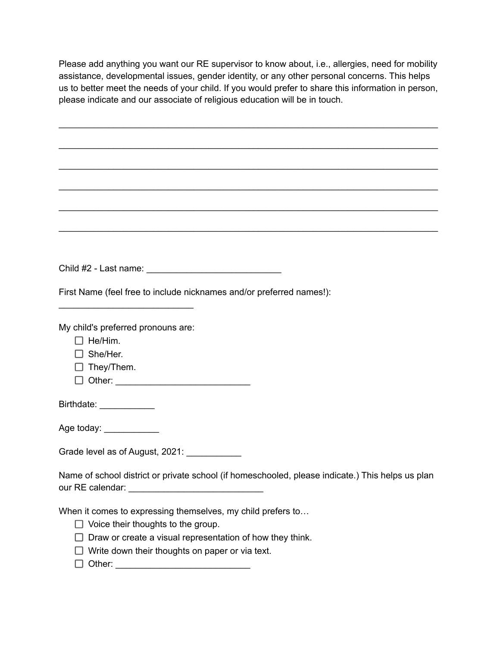Please add anything you want our RE supervisor to know about, i.e., allergies, need for mobility assistance, developmental issues, gender identity, or any other personal concerns. This helps us to better meet the needs of your child. If you would prefer to share this information in person, please indicate and our associate of religious education will be in touch.

\_\_\_\_\_\_\_\_\_\_\_\_\_\_\_\_\_\_\_\_\_\_\_\_\_\_\_\_\_\_\_\_\_\_\_\_\_\_\_\_\_\_\_\_\_\_\_\_\_\_\_\_\_\_\_\_\_\_\_\_\_\_\_\_\_\_\_\_\_\_\_\_\_\_\_\_

\_\_\_\_\_\_\_\_\_\_\_\_\_\_\_\_\_\_\_\_\_\_\_\_\_\_\_\_\_\_\_\_\_\_\_\_\_\_\_\_\_\_\_\_\_\_\_\_\_\_\_\_\_\_\_\_\_\_\_\_\_\_\_\_\_\_\_\_\_\_\_\_\_\_\_\_

\_\_\_\_\_\_\_\_\_\_\_\_\_\_\_\_\_\_\_\_\_\_\_\_\_\_\_\_\_\_\_\_\_\_\_\_\_\_\_\_\_\_\_\_\_\_\_\_\_\_\_\_\_\_\_\_\_\_\_\_\_\_\_\_\_\_\_\_\_\_\_\_\_\_\_\_

\_\_\_\_\_\_\_\_\_\_\_\_\_\_\_\_\_\_\_\_\_\_\_\_\_\_\_\_\_\_\_\_\_\_\_\_\_\_\_\_\_\_\_\_\_\_\_\_\_\_\_\_\_\_\_\_\_\_\_\_\_\_\_\_\_\_\_\_\_\_\_\_\_\_\_\_

\_\_\_\_\_\_\_\_\_\_\_\_\_\_\_\_\_\_\_\_\_\_\_\_\_\_\_\_\_\_\_\_\_\_\_\_\_\_\_\_\_\_\_\_\_\_\_\_\_\_\_\_\_\_\_\_\_\_\_\_\_\_\_\_\_\_\_\_\_\_\_\_\_\_\_\_

\_\_\_\_\_\_\_\_\_\_\_\_\_\_\_\_\_\_\_\_\_\_\_\_\_\_\_\_\_\_\_\_\_\_\_\_\_\_\_\_\_\_\_\_\_\_\_\_\_\_\_\_\_\_\_\_\_\_\_\_\_\_\_\_\_\_\_\_\_\_\_\_\_\_\_\_

Child #2 - Last name: \_\_\_\_\_\_\_\_\_\_\_\_\_\_\_\_\_\_\_\_\_\_\_\_\_\_\_

First Name (feel free to include nicknames and/or preferred names!):

My child's preferred pronouns are:

\_\_\_\_\_\_\_\_\_\_\_\_\_\_\_\_\_\_\_\_\_\_\_\_\_\_\_

 $\Box$  He/Him.

□ She/Her.

 $\Box$  They/Them.

Other: \_\_\_\_\_\_\_\_\_\_\_\_\_\_\_\_\_\_\_\_\_\_\_\_\_\_\_

Birthdate: \_\_\_\_\_\_\_\_\_\_\_

Age today: \_\_\_\_\_\_\_\_\_\_\_\_\_

Grade level as of August, 2021:

Name of school district or private school (if homeschooled, please indicate.) This helps us plan our RE calendar: \_\_\_\_\_\_\_\_\_\_\_\_\_\_\_\_\_\_\_\_\_\_\_\_\_\_\_

When it comes to expressing themselves, my child prefers to…

- $\Box$  Voice their thoughts to the group.
- $\Box$  Draw or create a visual representation of how they think.
- $\Box$  Write down their thoughts on paper or via text.
- Other: \_\_\_\_\_\_\_\_\_\_\_\_\_\_\_\_\_\_\_\_\_\_\_\_\_\_\_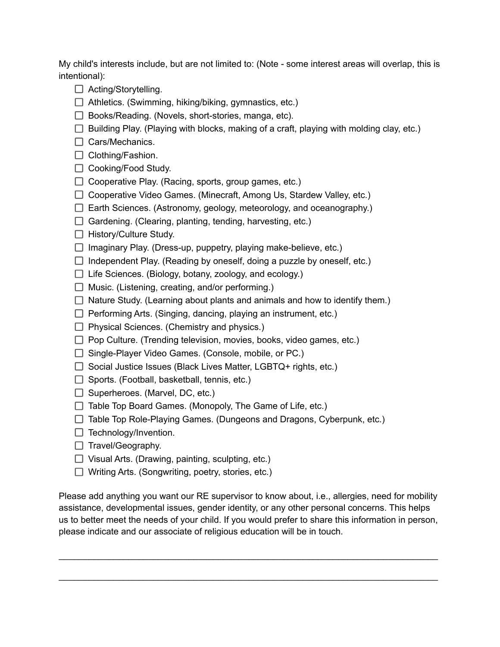My child's interests include, but are not limited to: (Note - some interest areas will overlap, this is intentional):

- □ Acting/Storytelling.
- $\Box$  Athletics. (Swimming, hiking/biking, gymnastics, etc.)
- $\Box$  Books/Reading. (Novels, short-stories, manga, etc).
- $\Box$  Building Play. (Playing with blocks, making of a craft, playing with molding clay, etc.)
- $\Box$  Cars/Mechanics.
- $\Box$  Clothing/Fashion.
- $\Box$  Cooking/Food Study.
- $\Box$  Cooperative Play. (Racing, sports, group games, etc.)
- $\Box$  Cooperative Video Games. (Minecraft, Among Us, Stardew Valley, etc.)
- $\Box$  Earth Sciences. (Astronomy, geology, meteorology, and oceanography.)
- $\Box$  Gardening. (Clearing, planting, tending, harvesting, etc.)
- $\Box$  History/Culture Study.
- $\Box$  Imaginary Play. (Dress-up, puppetry, playing make-believe, etc.)
- $\Box$  Independent Play. (Reading by oneself, doing a puzzle by oneself, etc.)
- $\Box$  Life Sciences. (Biology, botany, zoology, and ecology.)
- $\Box$  Music. (Listening, creating, and/or performing.)
- $\Box$  Nature Study. (Learning about plants and animals and how to identify them.)
- $\Box$  Performing Arts. (Singing, dancing, playing an instrument, etc.)
- $\Box$  Physical Sciences. (Chemistry and physics.)
- $\Box$  Pop Culture. (Trending television, movies, books, video games, etc.)
- $\Box$  Single-Player Video Games. (Console, mobile, or PC.)
- $\Box$  Social Justice Issues (Black Lives Matter, LGBTQ+ rights, etc.)
- $\Box$  Sports. (Football, basketball, tennis, etc.)
- $\Box$  Superheroes. (Marvel, DC, etc.)
- $\Box$  Table Top Board Games. (Monopoly, The Game of Life, etc.)
- $\Box$  Table Top Role-Playing Games. (Dungeons and Dragons, Cyberpunk, etc.)
- $\Box$  Technology/Invention.
- $\Box$  Travel/Geography.
- $\Box$  Visual Arts. (Drawing, painting, sculpting, etc.)
- $\Box$  Writing Arts. (Songwriting, poetry, stories, etc.)

Please add anything you want our RE supervisor to know about, i.e., allergies, need for mobility assistance, developmental issues, gender identity, or any other personal concerns. This helps us to better meet the needs of your child. If you would prefer to share this information in person, please indicate and our associate of religious education will be in touch.

\_\_\_\_\_\_\_\_\_\_\_\_\_\_\_\_\_\_\_\_\_\_\_\_\_\_\_\_\_\_\_\_\_\_\_\_\_\_\_\_\_\_\_\_\_\_\_\_\_\_\_\_\_\_\_\_\_\_\_\_\_\_\_\_\_\_\_\_\_\_\_\_\_\_\_\_

\_\_\_\_\_\_\_\_\_\_\_\_\_\_\_\_\_\_\_\_\_\_\_\_\_\_\_\_\_\_\_\_\_\_\_\_\_\_\_\_\_\_\_\_\_\_\_\_\_\_\_\_\_\_\_\_\_\_\_\_\_\_\_\_\_\_\_\_\_\_\_\_\_\_\_\_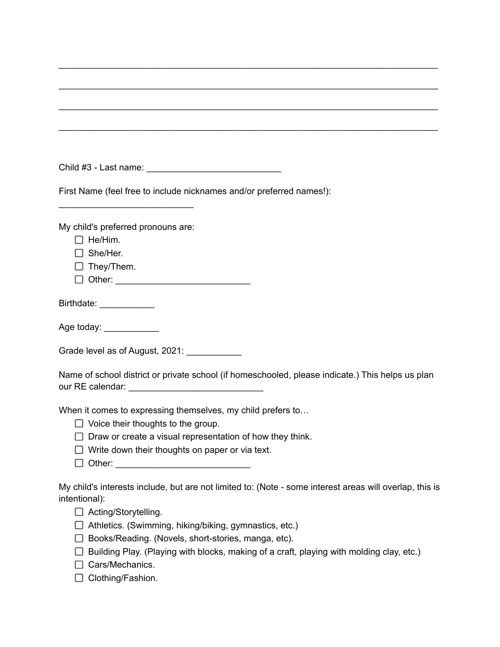| First Name (feel free to include nicknames and/or preferred names!):                                    |
|---------------------------------------------------------------------------------------------------------|
| My child's preferred pronouns are:                                                                      |
| $\Box$ He/Him.                                                                                          |
| She/Her.                                                                                                |
| They/Them.                                                                                              |
|                                                                                                         |
| Birthdate: ____________                                                                                 |
| Age today: ____________                                                                                 |
| Grade level as of August, 2021: ____________                                                            |
| Name of school district or private school (if homeschooled, please indicate.) This helps us plan        |
| When it comes to expressing themselves, my child prefers to                                             |
| $\Box$ Voice their thoughts to the group.                                                               |
| Draw or create a visual representation of how they think.                                               |
| Write down their thoughts on paper or via text.                                                         |
|                                                                                                         |
| My child's interests include, but are not limited to: (Note - some interest areas will overlap, this is |
| intentional):<br>$\mathsf{L}$                                                                           |
| Acting/Storytelling.<br>Athletics. (Swimming, hiking/biking, gymnastics, etc.)                          |
| Books/Reading. (Novels, short-stories, manga, etc).                                                     |
| Building Play. (Playing with blocks, making of a craft, playing with molding clay, etc.)                |
| Cars/Mechanics.                                                                                         |

\_\_\_\_\_\_\_\_\_\_\_\_\_\_\_\_\_\_\_\_\_\_\_\_\_\_\_\_\_\_\_\_\_\_\_\_\_\_\_\_\_\_\_\_\_\_\_\_\_\_\_\_\_\_\_\_\_\_\_\_\_\_\_\_\_\_\_\_\_\_\_\_\_\_\_\_

 $\Box$  Clothing/Fashion.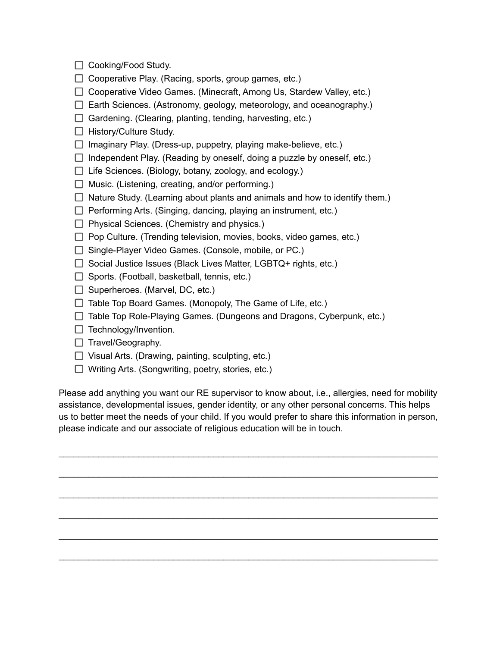- $\Box$  Cooking/Food Study.
- $\Box$  Cooperative Play. (Racing, sports, group games, etc.)
- $\Box$  Cooperative Video Games. (Minecraft, Among Us, Stardew Valley, etc.)
- $\Box$  Earth Sciences. (Astronomy, geology, meteorology, and oceanography.)
- $\Box$  Gardening. (Clearing, planting, tending, harvesting, etc.)
- $\Box$  History/Culture Study.
- $\Box$  Imaginary Play. (Dress-up, puppetry, playing make-believe, etc.)
- $\Box$  Independent Play. (Reading by oneself, doing a puzzle by oneself, etc.)
- $\Box$  Life Sciences. (Biology, botany, zoology, and ecology.)
- $\Box$  Music. (Listening, creating, and/or performing.)
- $\Box$  Nature Study. (Learning about plants and animals and how to identify them.)
- $\Box$  Performing Arts. (Singing, dancing, playing an instrument, etc.)
- $\Box$  Physical Sciences. (Chemistry and physics.)
- $\Box$  Pop Culture. (Trending television, movies, books, video games, etc.)
- □ Single-Player Video Games. (Console, mobile, or PC.)
- $\Box$  Social Justice Issues (Black Lives Matter, LGBTQ+ rights, etc.)
- $\Box$  Sports. (Football, basketball, tennis, etc.)
- $\Box$  Superheroes. (Marvel, DC, etc.)
- $\Box$  Table Top Board Games. (Monopoly, The Game of Life, etc.)
- $\Box$  Table Top Role-Playing Games. (Dungeons and Dragons, Cyberpunk, etc.)
- $\Box$  Technology/Invention.
- $\Box$  Travel/Geography.
- $\Box$  Visual Arts. (Drawing, painting, sculpting, etc.)
- $\Box$  Writing Arts. (Songwriting, poetry, stories, etc.)

Please add anything you want our RE supervisor to know about, i.e., allergies, need for mobility assistance, developmental issues, gender identity, or any other personal concerns. This helps us to better meet the needs of your child. If you would prefer to share this information in person, please indicate and our associate of religious education will be in touch.

\_\_\_\_\_\_\_\_\_\_\_\_\_\_\_\_\_\_\_\_\_\_\_\_\_\_\_\_\_\_\_\_\_\_\_\_\_\_\_\_\_\_\_\_\_\_\_\_\_\_\_\_\_\_\_\_\_\_\_\_\_\_\_\_\_\_\_\_\_\_\_\_\_\_\_\_

\_\_\_\_\_\_\_\_\_\_\_\_\_\_\_\_\_\_\_\_\_\_\_\_\_\_\_\_\_\_\_\_\_\_\_\_\_\_\_\_\_\_\_\_\_\_\_\_\_\_\_\_\_\_\_\_\_\_\_\_\_\_\_\_\_\_\_\_\_\_\_\_\_\_\_\_

\_\_\_\_\_\_\_\_\_\_\_\_\_\_\_\_\_\_\_\_\_\_\_\_\_\_\_\_\_\_\_\_\_\_\_\_\_\_\_\_\_\_\_\_\_\_\_\_\_\_\_\_\_\_\_\_\_\_\_\_\_\_\_\_\_\_\_\_\_\_\_\_\_\_\_\_

\_\_\_\_\_\_\_\_\_\_\_\_\_\_\_\_\_\_\_\_\_\_\_\_\_\_\_\_\_\_\_\_\_\_\_\_\_\_\_\_\_\_\_\_\_\_\_\_\_\_\_\_\_\_\_\_\_\_\_\_\_\_\_\_\_\_\_\_\_\_\_\_\_\_\_\_

\_\_\_\_\_\_\_\_\_\_\_\_\_\_\_\_\_\_\_\_\_\_\_\_\_\_\_\_\_\_\_\_\_\_\_\_\_\_\_\_\_\_\_\_\_\_\_\_\_\_\_\_\_\_\_\_\_\_\_\_\_\_\_\_\_\_\_\_\_\_\_\_\_\_\_\_

\_\_\_\_\_\_\_\_\_\_\_\_\_\_\_\_\_\_\_\_\_\_\_\_\_\_\_\_\_\_\_\_\_\_\_\_\_\_\_\_\_\_\_\_\_\_\_\_\_\_\_\_\_\_\_\_\_\_\_\_\_\_\_\_\_\_\_\_\_\_\_\_\_\_\_\_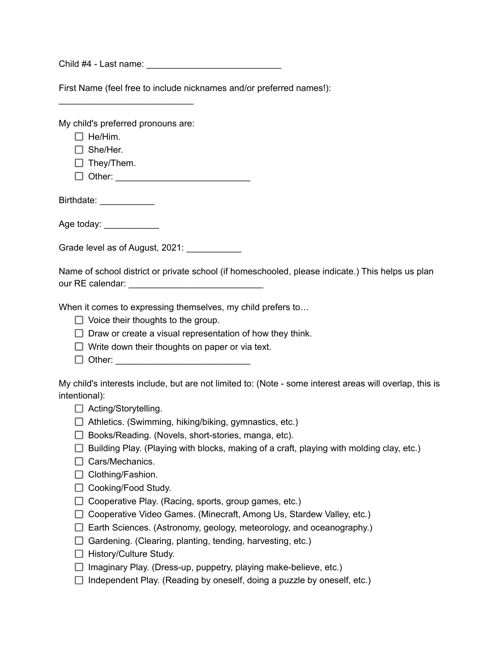Child #4 - Last name:

First Name (feel free to include nicknames and/or preferred names!):

My child's preferred pronouns are:

\_\_\_\_\_\_\_\_\_\_\_\_\_\_\_\_\_\_\_\_\_\_\_\_\_\_\_

 $\Box$  He/Him.

□ She/Her.

 $\Box$  They/Them.

 $\Box$  Other:

Birthdate: \_\_\_\_\_\_\_\_\_\_\_\_\_

Age today: \_\_\_\_\_\_\_\_\_\_\_\_\_

Grade level as of August, 2021:

Name of school district or private school (if homeschooled, please indicate.) This helps us plan our RE calendar:  $\Box$ 

When it comes to expressing themselves, my child prefers to...

- $\Box$  Voice their thoughts to the group.
- $\Box$  Draw or create a visual representation of how they think.
- $\Box$  Write down their thoughts on paper or via text.
- $\Box$  Other:

My child's interests include, but are not limited to: (Note - some interest areas will overlap, this is intentional):

- □ Acting/Storytelling.
- $\Box$  Athletics. (Swimming, hiking/biking, gymnastics, etc.)
- $\Box$  Books/Reading. (Novels, short-stories, manga, etc).
- $\Box$  Building Play. (Playing with blocks, making of a craft, playing with molding clay, etc.)
- $\Box$  Cars/Mechanics.
- $\Box$  Clothing/Fashion.
- $\Box$  Cooking/Food Study.
- $\Box$  Cooperative Play. (Racing, sports, group games, etc.)
- □ Cooperative Video Games. (Minecraft, Among Us, Stardew Valley, etc.)
- $\Box$  Earth Sciences. (Astronomy, geology, meteorology, and oceanography.)
- $\Box$  Gardening. (Clearing, planting, tending, harvesting, etc.)
- $\Box$  History/Culture Study.
- $\Box$  Imaginary Play. (Dress-up, puppetry, playing make-believe, etc.)
- $\Box$  Independent Play. (Reading by oneself, doing a puzzle by oneself, etc.)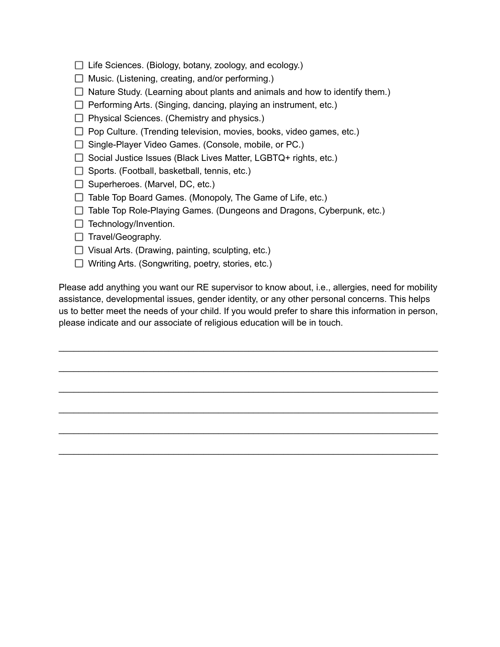- $\Box$  Life Sciences. (Biology, botany, zoology, and ecology.)
- $\Box$  Music. (Listening, creating, and/or performing.)
- $\Box$  Nature Study. (Learning about plants and animals and how to identify them.)
- $\Box$  Performing Arts. (Singing, dancing, playing an instrument, etc.)
- $\Box$  Physical Sciences. (Chemistry and physics.)
- $\Box$  Pop Culture. (Trending television, movies, books, video games, etc.)
- □ Single-Player Video Games. (Console, mobile, or PC.)
- $\Box$  Social Justice Issues (Black Lives Matter, LGBTQ+ rights, etc.)
- $\Box$  Sports. (Football, basketball, tennis, etc.)
- $\Box$  Superheroes. (Marvel, DC, etc.)
- $\Box$  Table Top Board Games. (Monopoly, The Game of Life, etc.)
- $\Box$  Table Top Role-Playing Games. (Dungeons and Dragons, Cyberpunk, etc.)
- $\Box$  Technology/Invention.
- $\Box$  Travel/Geography.
- $\Box$  Visual Arts. (Drawing, painting, sculpting, etc.)
- □ Writing Arts. (Songwriting, poetry, stories, etc.)

Please add anything you want our RE supervisor to know about, i.e., allergies, need for mobility assistance, developmental issues, gender identity, or any other personal concerns. This helps us to better meet the needs of your child. If you would prefer to share this information in person, please indicate and our associate of religious education will be in touch.

\_\_\_\_\_\_\_\_\_\_\_\_\_\_\_\_\_\_\_\_\_\_\_\_\_\_\_\_\_\_\_\_\_\_\_\_\_\_\_\_\_\_\_\_\_\_\_\_\_\_\_\_\_\_\_\_\_\_\_\_\_\_\_\_\_\_\_\_\_\_\_\_\_\_\_\_

\_\_\_\_\_\_\_\_\_\_\_\_\_\_\_\_\_\_\_\_\_\_\_\_\_\_\_\_\_\_\_\_\_\_\_\_\_\_\_\_\_\_\_\_\_\_\_\_\_\_\_\_\_\_\_\_\_\_\_\_\_\_\_\_\_\_\_\_\_\_\_\_\_\_\_\_

\_\_\_\_\_\_\_\_\_\_\_\_\_\_\_\_\_\_\_\_\_\_\_\_\_\_\_\_\_\_\_\_\_\_\_\_\_\_\_\_\_\_\_\_\_\_\_\_\_\_\_\_\_\_\_\_\_\_\_\_\_\_\_\_\_\_\_\_\_\_\_\_\_\_\_\_

\_\_\_\_\_\_\_\_\_\_\_\_\_\_\_\_\_\_\_\_\_\_\_\_\_\_\_\_\_\_\_\_\_\_\_\_\_\_\_\_\_\_\_\_\_\_\_\_\_\_\_\_\_\_\_\_\_\_\_\_\_\_\_\_\_\_\_\_\_\_\_\_\_\_\_\_

\_\_\_\_\_\_\_\_\_\_\_\_\_\_\_\_\_\_\_\_\_\_\_\_\_\_\_\_\_\_\_\_\_\_\_\_\_\_\_\_\_\_\_\_\_\_\_\_\_\_\_\_\_\_\_\_\_\_\_\_\_\_\_\_\_\_\_\_\_\_\_\_\_\_\_\_

\_\_\_\_\_\_\_\_\_\_\_\_\_\_\_\_\_\_\_\_\_\_\_\_\_\_\_\_\_\_\_\_\_\_\_\_\_\_\_\_\_\_\_\_\_\_\_\_\_\_\_\_\_\_\_\_\_\_\_\_\_\_\_\_\_\_\_\_\_\_\_\_\_\_\_\_